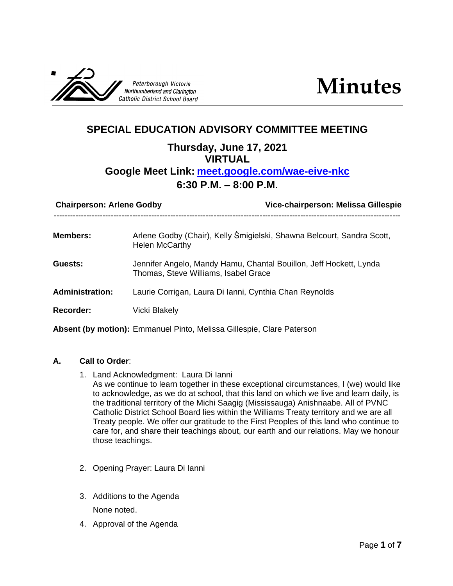



# **SPECIAL EDUCATION ADVISORY COMMITTEE MEETING Thursday, June 17, 2021 VIRTUAL Google Meet Link: [meet.google.com/wae-eive-nkc](http://meet.google.com/wae-eive-nkc) 6:30 P.M. – 8:00 P.M.**

| Vice-chairperson: Melissa Gillespie<br><b>Chairperson: Arlene Godby</b>                                    |
|------------------------------------------------------------------------------------------------------------|
| Arlene Godby (Chair), Kelly Śmigielski, Shawna Belcourt, Sandra Scott,<br><b>Helen McCarthy</b>            |
| Jennifer Angelo, Mandy Hamu, Chantal Bouillon, Jeff Hockett, Lynda<br>Thomas, Steve Williams, Isabel Grace |
| Laurie Corrigan, Laura Di Ianni, Cynthia Chan Reynolds                                                     |
| Vicki Blakely                                                                                              |
|                                                                                                            |

**Absent (by motion):** Emmanuel Pinto, Melissa Gillespie, Clare Paterson

#### **A. Call to Order**:

- 1. Land Acknowledgment: Laura Di Ianni As we continue to learn together in these exceptional circumstances, I (we) would like to acknowledge, as we do at school, that this land on which we live and learn daily, is the traditional territory of the Michi Saagig (Mississauga) Anishnaabe. All of PVNC Catholic District School Board lies within the Williams Treaty territory and we are all Treaty people. We offer our gratitude to the First Peoples of this land who continue to care for, and share their teachings about, our earth and our relations. May we honour those teachings.
- 2. Opening Prayer: Laura Di Ianni
- 3. Additions to the Agenda

None noted.

4. Approval of the Agenda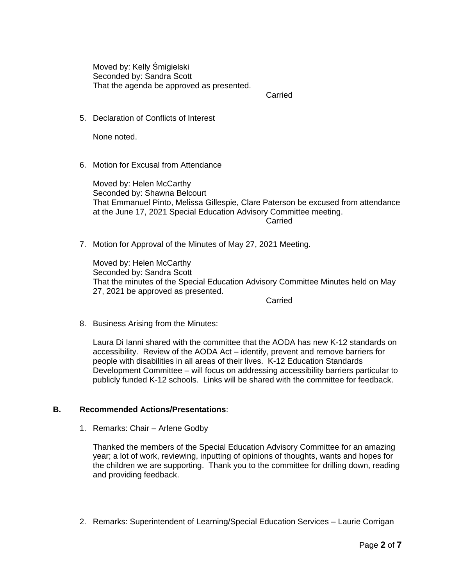Moved by: Kelly Śmigielski Seconded by: Sandra Scott That the agenda be approved as presented.

Carried

5. Declaration of Conflicts of Interest

None noted.

6. Motion for Excusal from Attendance

Moved by: Helen McCarthy Seconded by: Shawna Belcourt That Emmanuel Pinto, Melissa Gillespie, Clare Paterson be excused from attendance at the June 17, 2021 Special Education Advisory Committee meeting. Carried

7. Motion for Approval of the Minutes of May 27, 2021 Meeting.

Moved by: Helen McCarthy Seconded by: Sandra Scott That the minutes of the Special Education Advisory Committee Minutes held on May 27, 2021 be approved as presented.

Carried

8. Business Arising from the Minutes:

Laura Di Ianni shared with the committee that the AODA has new K-12 standards on accessibility. Review of the AODA Act – identify, prevent and remove barriers for people with disabilities in all areas of their lives. K-12 Education Standards Development Committee – will focus on addressing accessibility barriers particular to publicly funded K-12 schools. Links will be shared with the committee for feedback.

#### **B. Recommended Actions/Presentations**:

1. Remarks: Chair – Arlene Godby

Thanked the members of the Special Education Advisory Committee for an amazing year; a lot of work, reviewing, inputting of opinions of thoughts, wants and hopes for the children we are supporting. Thank you to the committee for drilling down, reading and providing feedback.

2. Remarks: Superintendent of Learning/Special Education Services – Laurie Corrigan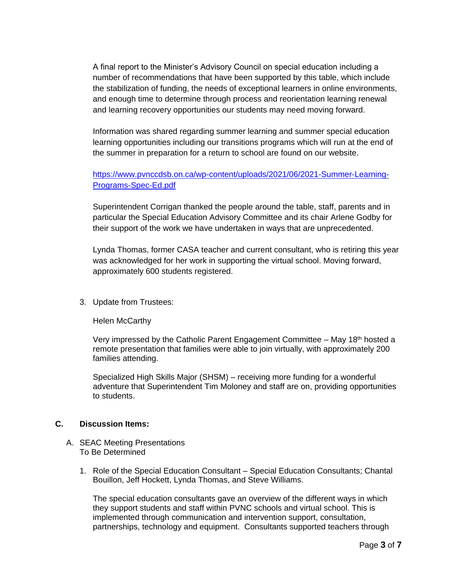A final report to the Minister's Advisory Council on special education including a number of recommendations that have been supported by this table, which include the stabilization of funding, the needs of exceptional learners in online environments, and enough time to determine through process and reorientation learning renewal and learning recovery opportunities our students may need moving forward.

Information was shared regarding summer learning and summer special education learning opportunities including our transitions programs which will run at the end of the summer in preparation for a return to school are found on our website.

# [https://www.pvnccdsb.on.ca/wp-content/uploads/2021/06/2021-Summer-Learning-](https://www.pvnccdsb.on.ca/wp-content/uploads/2021/06/2021-Summer-Learning-Programs-Spec-Ed.pdf)[Programs-Spec-Ed.pdf](https://www.pvnccdsb.on.ca/wp-content/uploads/2021/06/2021-Summer-Learning-Programs-Spec-Ed.pdf)

Superintendent Corrigan thanked the people around the table, staff, parents and in particular the Special Education Advisory Committee and its chair Arlene Godby for their support of the work we have undertaken in ways that are unprecedented.

Lynda Thomas, former CASA teacher and current consultant, who is retiring this year was acknowledged for her work in supporting the virtual school. Moving forward, approximately 600 students registered.

3. Update from Trustees:

Helen McCarthy

Very impressed by the Catholic Parent Engagement Committee – May  $18<sup>th</sup>$  hosted a remote presentation that families were able to join virtually, with approximately 200 families attending.

Specialized High Skills Major (SHSM) – receiving more funding for a wonderful adventure that Superintendent Tim Moloney and staff are on, providing opportunities to students.

### **C. Discussion Items:**

- A. SEAC Meeting Presentations To Be Determined
	- 1. Role of the Special Education Consultant Special Education Consultants; Chantal Bouillon, Jeff Hockett, Lynda Thomas, and Steve Williams.

The special education consultants gave an overview of the different ways in which they support students and staff within PVNC schools and virtual school. This is implemented through communication and intervention support, consultation, partnerships, technology and equipment. Consultants supported teachers through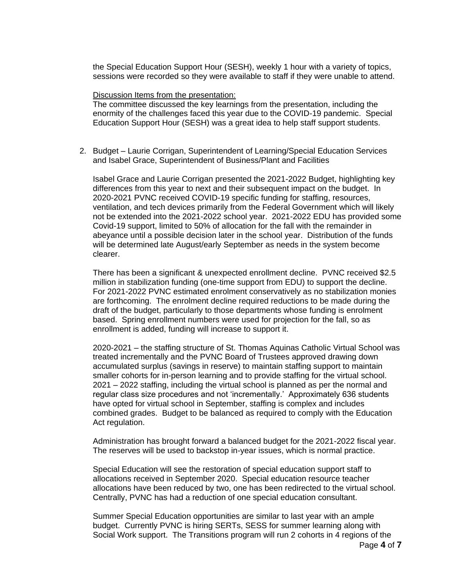the Special Education Support Hour (SESH), weekly 1 hour with a variety of topics, sessions were recorded so they were available to staff if they were unable to attend.

#### Discussion Items from the presentation:

The committee discussed the key learnings from the presentation, including the enormity of the challenges faced this year due to the COVID-19 pandemic. Special Education Support Hour (SESH) was a great idea to help staff support students.

2. Budget – Laurie Corrigan, Superintendent of Learning/Special Education Services and Isabel Grace, Superintendent of Business/Plant and Facilities

Isabel Grace and Laurie Corrigan presented the 2021-2022 Budget, highlighting key differences from this year to next and their subsequent impact on the budget. In 2020-2021 PVNC received COVID-19 specific funding for staffing, resources, ventilation, and tech devices primarily from the Federal Government which will likely not be extended into the 2021-2022 school year. 2021-2022 EDU has provided some Covid-19 support, limited to 50% of allocation for the fall with the remainder in abeyance until a possible decision later in the school year. Distribution of the funds will be determined late August/early September as needs in the system become clearer.

There has been a significant & unexpected enrollment decline. PVNC received \$2.5 million in stabilization funding (one-time support from EDU) to support the decline. For 2021-2022 PVNC estimated enrolment conservatively as no stabilization monies are forthcoming. The enrolment decline required reductions to be made during the draft of the budget, particularly to those departments whose funding is enrolment based. Spring enrollment numbers were used for projection for the fall, so as enrollment is added, funding will increase to support it.

2020-2021 – the staffing structure of St. Thomas Aquinas Catholic Virtual School was treated incrementally and the PVNC Board of Trustees approved drawing down accumulated surplus (savings in reserve) to maintain staffing support to maintain smaller cohorts for in-person learning and to provide staffing for the virtual school. 2021 – 2022 staffing, including the virtual school is planned as per the normal and regular class size procedures and not 'incrementally.' Approximately 636 students have opted for virtual school in September, staffing is complex and includes combined grades. Budget to be balanced as required to comply with the Education Act regulation.

Administration has brought forward a balanced budget for the 2021-2022 fiscal year. The reserves will be used to backstop in-year issues, which is normal practice.

Special Education will see the restoration of special education support staff to allocations received in September 2020. Special education resource teacher allocations have been reduced by two, one has been redirected to the virtual school. Centrally, PVNC has had a reduction of one special education consultant.

Summer Special Education opportunities are similar to last year with an ample budget. Currently PVNC is hiring SERTs, SESS for summer learning along with Social Work support. The Transitions program will run 2 cohorts in 4 regions of the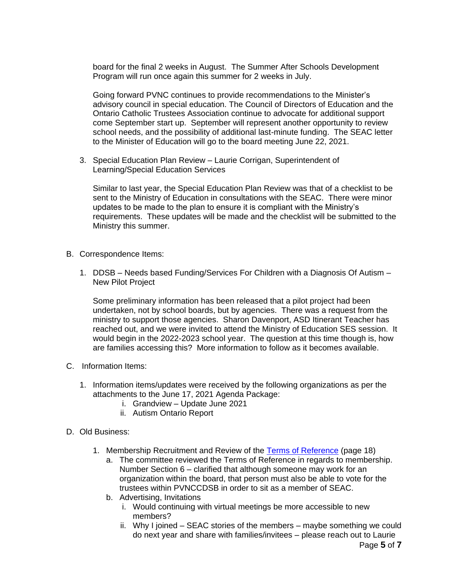board for the final 2 weeks in August. The Summer After Schools Development Program will run once again this summer for 2 weeks in July.

Going forward PVNC continues to provide recommendations to the Minister's advisory council in special education. The Council of Directors of Education and the Ontario Catholic Trustees Association continue to advocate for additional support come September start up. September will represent another opportunity to review school needs, and the possibility of additional last-minute funding. The SEAC letter to the Minister of Education will go to the board meeting June 22, 2021.

3. Special Education Plan Review – Laurie Corrigan, Superintendent of Learning/Special Education Services

Similar to last year, the Special Education Plan Review was that of a checklist to be sent to the Ministry of Education in consultations with the SEAC. There were minor updates to be made to the plan to ensure it is compliant with the Ministry's requirements. These updates will be made and the checklist will be submitted to the Ministry this summer.

- B. Correspondence Items:
	- 1. DDSB Needs based Funding/Services For Children with a Diagnosis Of Autism New Pilot Project

Some preliminary information has been released that a pilot project had been undertaken, not by school boards, but by agencies. There was a request from the ministry to support those agencies. Sharon Davenport, ASD Itinerant Teacher has reached out, and we were invited to attend the Ministry of Education SES session. It would begin in the 2022-2023 school year. The question at this time though is, how are families accessing this? More information to follow as it becomes available.

- C. Information Items:
	- 1. Information items/updates were received by the following organizations as per the attachments to the June 17, 2021 Agenda Package:
		- i. Grandview Update June 2021
		- ii. Autism Ontario Report
- D. Old Business:
	- 1. Membership Recruitment and Review of the [Terms of Reference](https://www.pvnccdsb.on.ca/wp-content/uploads/2018/10/Committee-Terms-of-Reference-Nov-27-2018-FINAL.pdf) (page 18)
		- a. The committee reviewed the Terms of Reference in regards to membership. Number Section 6 – clarified that although someone may work for an organization within the board, that person must also be able to vote for the trustees within PVNCCDSB in order to sit as a member of SEAC.
		- b. Advertising, Invitations
			- i. Would continuing with virtual meetings be more accessible to new members?
			- ii. Why I joined SEAC stories of the members maybe something we could do next year and share with families/invitees – please reach out to Laurie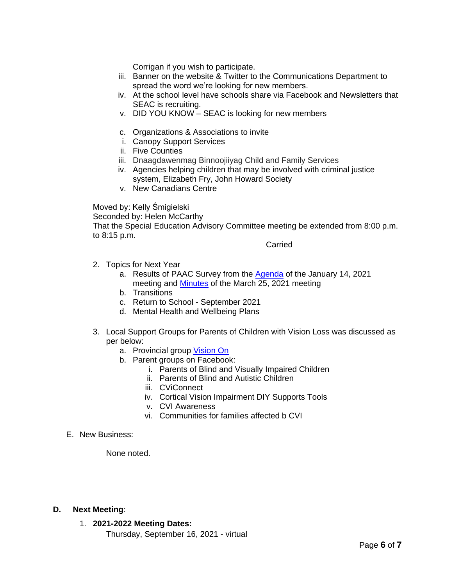Corrigan if you wish to participate.

- iii. Banner on the website & Twitter to the Communications Department to spread the word we're looking for new members.
- iv. At the school level have schools share via Facebook and Newsletters that SEAC is recruiting.
- v. DID YOU KNOW SEAC is looking for new members
- c. Organizations & Associations to invite
- i. Canopy Support Services
- ii. Five Counties
- iii. Dnaagdawenmag Binnoojiiyag Child and Family Services
- iv. Agencies helping children that may be involved with criminal justice system, Elizabeth Fry, John Howard Society
- v. New Canadians Centre

Moved by: Kelly Śmigielski

Seconded by: Helen McCarthy

That the Special Education Advisory Committee meeting be extended from 8:00 p.m. to 8:15 p.m.

**Carried** 

- 2. Topics for Next Year
	- a. Results of PAAC Survey from the [Agenda](https://www.pvnccdsb.on.ca/wp-content/uploads/2018/08/SEAC-Agenda-Package-January-14-2021.pdf) of the January 14, 2021 meeting and **Minutes** of the March 25, 2021 meeting
	- b. Transitions
	- c. Return to School September 2021
	- d. Mental Health and Wellbeing Plans
- 3. Local Support Groups for Parents of Children with Vision Loss was discussed as per below:
	- a. Provincial group [Vision On](https://viewson.ca/about-us/)
	- b. Parent groups on Facebook:
		- i. Parents of Blind and Visually Impaired Children
		- ii. Parents of Blind and Autistic Children
		- iii. CViConnect
		- iv. Cortical Vision Impairment DIY Supports Tools
		- v. CVI Awareness
		- vi. Communities for families affected b CVI
- E. New Business:

None noted.

## **D. Next Meeting**:

- 1. **2021-2022 Meeting Dates:**
	- Thursday, September 16, 2021 virtual